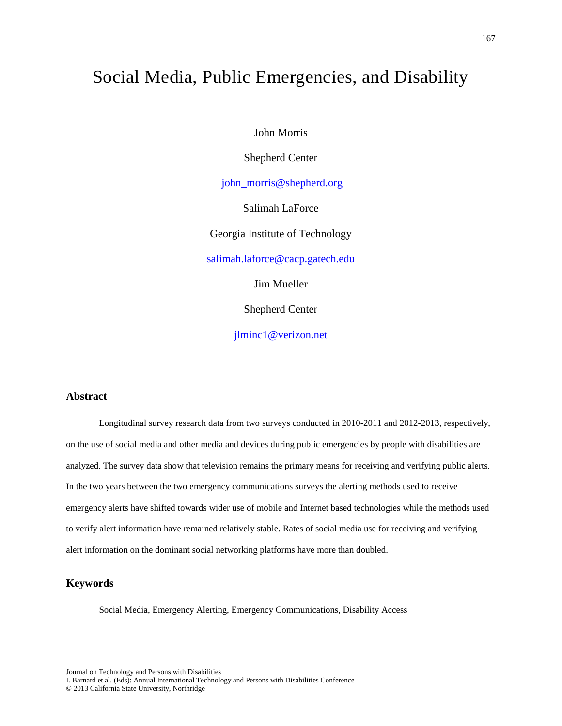# Social Media, Public Emergencies, and Disability

John Morris

Shepherd Center

 [john\\_morris@shepherd.org](mailto:john_morris@shepherd.org) 

Salimah LaForce

Georgia Institute of Technology

[salimah.laforce@cacp.gatech.edu](mailto:salimah.laforce@cacp.gatech.edu)

Jim Mueller

Shepherd Center

[jlminc1@verizon.net](mailto:jlminc1@verizon.net) 

#### **Abstract**

Longitudinal survey research data from two surveys conducted in 2010-2011 and 2012-2013, respectively, on the use of social media and other media and devices during public emergencies by people with disabilities are analyzed. The survey data show that television remains the primary means for receiving and verifying public alerts. In the two years between the two emergency communications surveys the alerting methods used to receive emergency alerts have shifted towards wider use of mobile and Internet based technologies while the methods used to verify alert information have remained relatively stable. Rates of social media use for receiving and verifying alert information on the dominant social networking platforms have more than doubled.

#### **Keywords**

Social Media, Emergency Alerting, Emergency Communications, Disability Access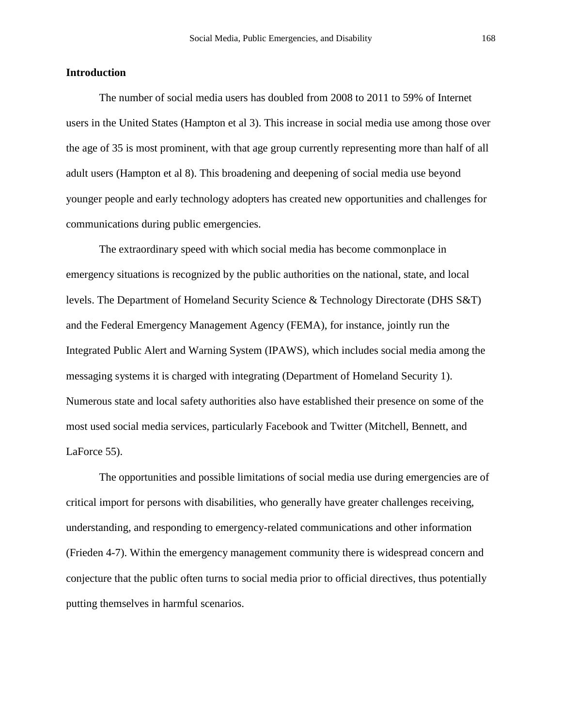#### **Introduction**

The number of social media users has doubled from 2008 to 2011 to 59% of Internet users in the United States (Hampton et al 3). This increase in social media use among those over the age of 35 is most prominent, with that age group currently representing more than half of all adult users (Hampton et al 8). This broadening and deepening of social media use beyond younger people and early technology adopters has created new opportunities and challenges for communications during public emergencies.

The extraordinary speed with which social media has become commonplace in emergency situations is recognized by the public authorities on the national, state, and local levels. The Department of Homeland Security Science & Technology Directorate (DHS S&T) and the Federal Emergency Management Agency (FEMA), for instance, jointly run the Integrated Public Alert and Warning System (IPAWS), which includes social media among the messaging systems it is charged with integrating (Department of Homeland Security 1). Numerous state and local safety authorities also have established their presence on some of the most used social media services, particularly Facebook and Twitter (Mitchell, Bennett, and LaForce 55).

The opportunities and possible limitations of social media use during emergencies are of critical import for persons with disabilities, who generally have greater challenges receiving, understanding, and responding to emergency-related communications and other information (Frieden 4-7). Within the emergency management community there is widespread concern and conjecture that the public often turns to social media prior to official directives, thus potentially putting themselves in harmful scenarios.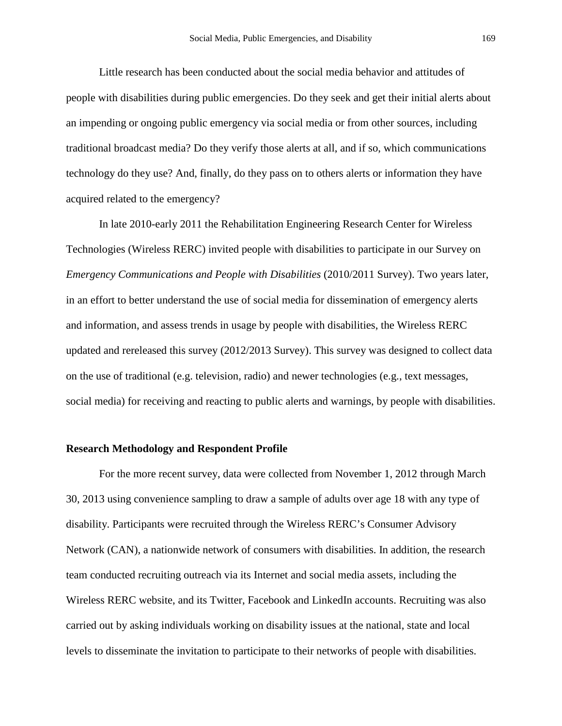Little research has been conducted about the social media behavior and attitudes of people with disabilities during public emergencies. Do they seek and get their initial alerts about an impending or ongoing public emergency via social media or from other sources, including traditional broadcast media? Do they verify those alerts at all, and if so, which communications technology do they use? And, finally, do they pass on to others alerts or information they have acquired related to the emergency?

In late 2010-early 2011 the Rehabilitation Engineering Research Center for Wireless Technologies (Wireless RERC) invited people with disabilities to participate in our Survey on *Emergency Communications and People with Disabilities (2010/2011 Survey). Two years later,* in an effort to better understand the use of social media for dissemination of emergency alerts and information, and assess trends in usage by people with disabilities, the Wireless RERC updated and rereleased this survey (2012/2013 Survey). This survey was designed to collect data on the use of traditional (e.g. television, radio) and newer technologies (e.g., text messages, social media) for receiving and reacting to public alerts and warnings, by people with disabilities.

## **Research Methodology and Respondent Profile**

For the more recent survey, data were collected from November 1, 2012 through March 30, 2013 using convenience sampling to draw a sample of adults over age 18 with any type of disability. Participants were recruited through the Wireless RERC's Consumer Advisory Network (CAN), a nationwide network of consumers with disabilities. In addition, the research team conducted recruiting outreach via its Internet and social media assets, including the Wireless RERC website, and its Twitter, Facebook and LinkedIn accounts. Recruiting was also carried out by asking individuals working on disability issues at the national, state and local levels to disseminate the invitation to participate to their networks of people with disabilities.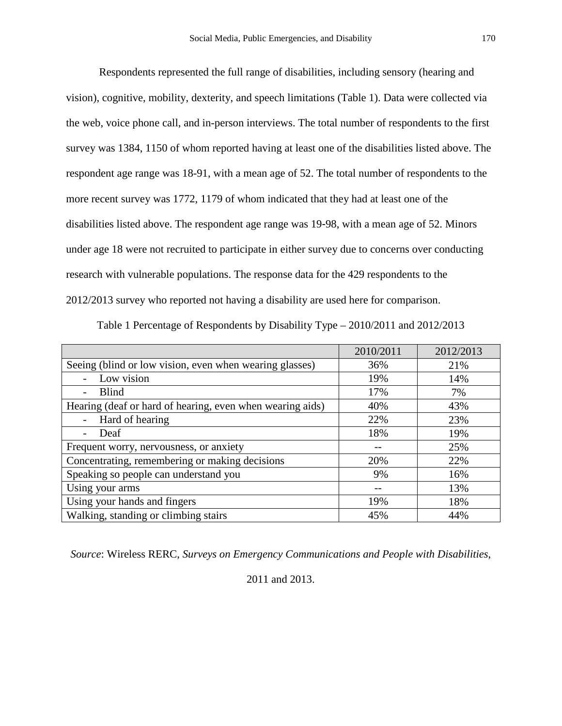Respondents represented the full range of disabilities, including sensory (hearing and vision), cognitive, mobility, dexterity, and speech limitations (Table 1). Data were collected via the web, voice phone call, and in-person interviews. The total number of respondents to the first survey was 1384, 1150 of whom reported having at least one of the disabilities listed above. The respondent age range was 18-91, with a mean age of 52. The total number of respondents to the more recent survey was 1772, 1179 of whom indicated that they had at least one of the disabilities listed above. The respondent age range was 19-98, with a mean age of 52. Minors under age 18 were not recruited to participate in either survey due to concerns over conducting research with vulnerable populations. The response data for the 429 respondents to the 2012/2013 survey who reported not having a disability are used here for comparison.

|                                                           | 2010/2011 | 2012/2013 |
|-----------------------------------------------------------|-----------|-----------|
| Seeing (blind or low vision, even when wearing glasses)   | 36%       | 21%       |
| Low vision                                                | 19%       | 14%       |
| <b>Blind</b>                                              | 17%       | 7%        |
| Hearing (deaf or hard of hearing, even when wearing aids) | 40%       | 43%       |
| Hard of hearing                                           | 22%       | 23%       |
| Deaf                                                      | 18%       | 19%       |
| Frequent worry, nervousness, or anxiety                   |           | 25%       |
| Concentrating, remembering or making decisions            | 20%       | 22%       |
| Speaking so people can understand you                     | 9%        | 16%       |
| Using your arms                                           |           | 13%       |
| Using your hands and fingers                              | 19%       | 18%       |
| Walking, standing or climbing stairs                      | 45%       | 44%       |

Table 1 Percentage of Respondents by Disability Type – 2010/2011 and 2012/2013

*Source*: Wireless RERC, *Surveys on Emergency Communications and People with Disabilities*,

2011 and 2013.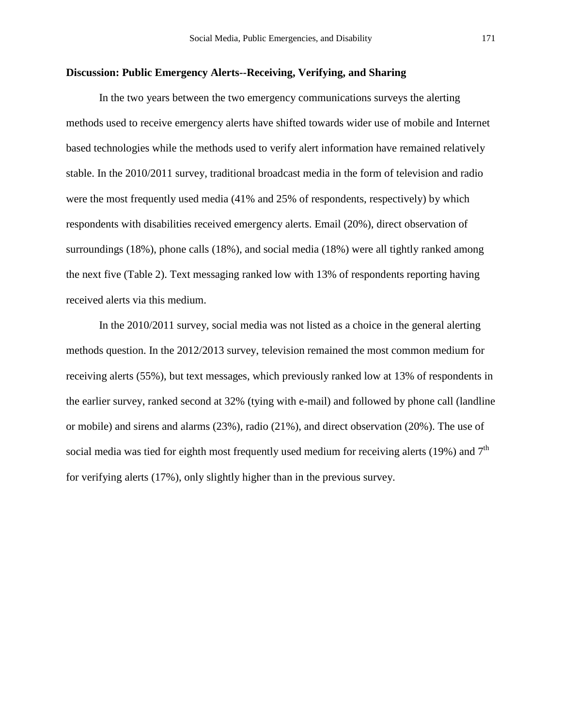#### **Discussion: Public Emergency Alerts--Receiving, Verifying, and Sharing**

In the two years between the two emergency communications surveys the alerting methods used to receive emergency alerts have shifted towards wider use of mobile and Internet based technologies while the methods used to verify alert information have remained relatively stable. In the 2010/2011 survey, traditional broadcast media in the form of television and radio were the most frequently used media (41% and 25% of respondents, respectively) by which respondents with disabilities received emergency alerts. Email (20%), direct observation of surroundings (18%), phone calls (18%), and social media (18%) were all tightly ranked among the next five (Table 2). Text messaging ranked low with 13% of respondents reporting having received alerts via this medium.

In the 2010/2011 survey, social media was not listed as a choice in the general alerting methods question. In the 2012/2013 survey, television remained the most common medium for receiving alerts (55%), but text messages, which previously ranked low at 13% of respondents in the earlier survey, ranked second at 32% (tying with e-mail) and followed by phone call (landline or mobile) and sirens and alarms (23%), radio (21%), and direct observation (20%). The use of social media was tied for eighth most frequently used medium for receiving alerts (19%) and  $7<sup>th</sup>$ for verifying alerts (17%), only slightly higher than in the previous survey.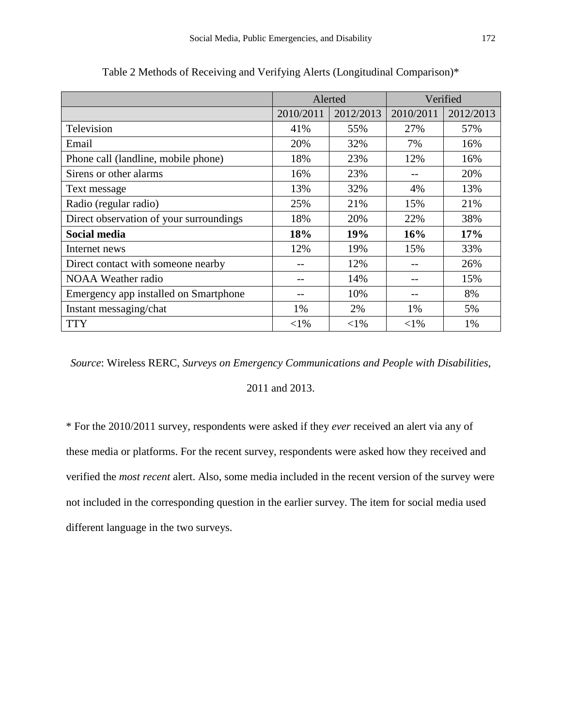|                                         | Alerted   |           | Verified  |           |
|-----------------------------------------|-----------|-----------|-----------|-----------|
|                                         | 2010/2011 | 2012/2013 | 2010/2011 | 2012/2013 |
| Television                              | 41%       | 55%       | 27%       | 57%       |
| Email                                   | 20%       | 32%       | 7%        | 16%       |
| Phone call (landline, mobile phone)     | 18%       | 23%       | 12%       | 16%       |
| Sirens or other alarms                  | 16%       | 23%       |           | 20%       |
| Text message                            | 13%       | 32%       | 4%        | 13%       |
| Radio (regular radio)                   | 25%       | 21%       | 15%       | 21%       |
| Direct observation of your surroundings | 18%       | 20%       | 22%       | 38%       |
| <b>Social media</b>                     | 18%       | 19%       | 16%       | 17%       |
| Internet news                           | 12%       | 19%       | 15%       | 33%       |
| Direct contact with someone nearby      | $ -$      | 12%       |           | 26%       |
| <b>NOAA</b> Weather radio               |           | 14%       |           | 15%       |
| Emergency app installed on Smartphone   |           | 10%       |           | 8%        |
| Instant messaging/chat                  | 1%        | 2%        | 1%        | 5%        |
| <b>TTY</b>                              | $<$ 1%    | $<$ 1%    | $<$ 1%    | 1%        |

Table 2 Methods of Receiving and Verifying Alerts (Longitudinal Comparison)\*

*Source*: Wireless RERC, *Surveys on Emergency Communications and People with Disabilities*,

2011 and 2013.

\* For the 2010/2011 survey, respondents were asked if they *ever* received an alert via any of these media or platforms. For the recent survey, respondents were asked how they received and verified the *most recent* alert. Also, some media included in the recent version of the survey were not included in the corresponding question in the earlier survey. The item for social media used different language in the two surveys.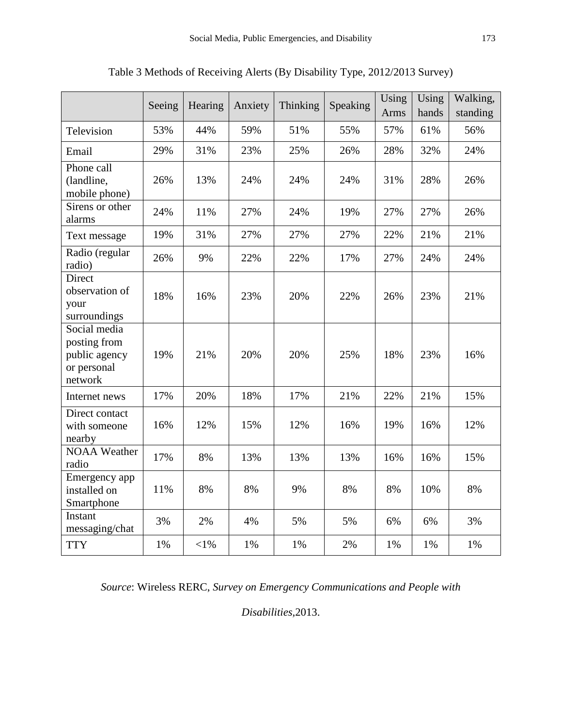|                                                                         | Seeing | Hearing    | Anxiety | Thinking | Speaking | Using | Using | Walking, |
|-------------------------------------------------------------------------|--------|------------|---------|----------|----------|-------|-------|----------|
|                                                                         |        |            |         |          |          | Arms  | hands | standing |
| Television                                                              | 53%    | 44%        | 59%     | 51%      | 55%      | 57%   | 61%   | 56%      |
| Email                                                                   | 29%    | 31%        | 23%     | 25%      | 26%      | 28%   | 32%   | 24%      |
| Phone call<br>(landline,<br>mobile phone)                               | 26%    | 13%        | 24%     | 24%      | 24%      | 31%   | 28%   | 26%      |
| Sirens or other<br>alarms                                               | 24%    | 11%        | 27%     | 24%      | 19%      | 27%   | 27%   | 26%      |
| Text message                                                            | 19%    | 31%        | 27%     | 27%      | 27%      | 22%   | 21%   | 21%      |
| Radio (regular<br>radio)                                                | 26%    | 9%         | 22%     | 22%      | 17%      | 27%   | 24%   | 24%      |
| Direct<br>observation of<br>your<br>surroundings                        | 18%    | 16%        | 23%     | 20%      | 22%      | 26%   | 23%   | 21%      |
| Social media<br>posting from<br>public agency<br>or personal<br>network | 19%    | 21%        | 20%     | 20%      | 25%      | 18%   | 23%   | 16%      |
| Internet news                                                           | 17%    | 20%        | 18%     | 17%      | 21%      | 22%   | 21%   | 15%      |
| Direct contact<br>with someone<br>nearby                                | 16%    | 12%        | 15%     | 12%      | 16%      | 19%   | 16%   | 12%      |
| <b>NOAA Weather</b><br>radio                                            | 17%    | 8%         | 13%     | 13%      | 13%      | 16%   | 16%   | 15%      |
| Emergency app<br>installed on<br>Smartphone                             | 11%    | 8%         | 8%      | 9%       | 8%       | 8%    | 10%   | 8%       |
| Instant<br>messaging/chat                                               | 3%     | 2%         | 4%      | 5%       | 5%       | 6%    | 6%    | 3%       |
| <b>TTY</b>                                                              | 1%     | $<\!\!1\%$ | 1%      | 1%       | 2%       | 1%    | 1%    | 1%       |

Table 3 Methods of Receiving Alerts (By Disability Type, 2012/2013 Survey)

*Source*: Wireless RERC, *Survey on Emergency Communications and People with* 

*Disabilities,*2013.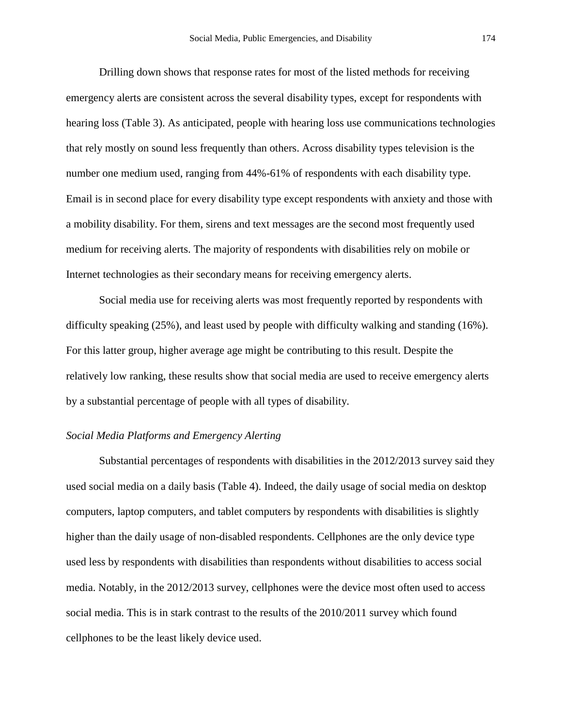Drilling down shows that response rates for most of the listed methods for receiving emergency alerts are consistent across the several disability types, except for respondents with hearing loss (Table 3). As anticipated, people with hearing loss use communications technologies that rely mostly on sound less frequently than others. Across disability types television is the number one medium used, ranging from 44%-61% of respondents with each disability type. Email is in second place for every disability type except respondents with anxiety and those with a mobility disability. For them, sirens and text messages are the second most frequently used medium for receiving alerts. The majority of respondents with disabilities rely on mobile or Internet technologies as their secondary means for receiving emergency alerts.

Social media use for receiving alerts was most frequently reported by respondents with difficulty speaking (25%), and least used by people with difficulty walking and standing (16%). For this latter group, higher average age might be contributing to this result. Despite the relatively low ranking, these results show that social media are used to receive emergency alerts by a substantial percentage of people with all types of disability.

### *Social Media Platforms and Emergency Alerting*

Substantial percentages of respondents with disabilities in the 2012/2013 survey said they used social media on a daily basis (Table 4). Indeed, the daily usage of social media on desktop computers, laptop computers, and tablet computers by respondents with disabilities is slightly higher than the daily usage of non-disabled respondents. Cellphones are the only device type used less by respondents with disabilities than respondents without disabilities to access social media. Notably, in the 2012/2013 survey, cellphones were the device most often used to access social media. This is in stark contrast to the results of the 2010/2011 survey which found cellphones to be the least likely device used.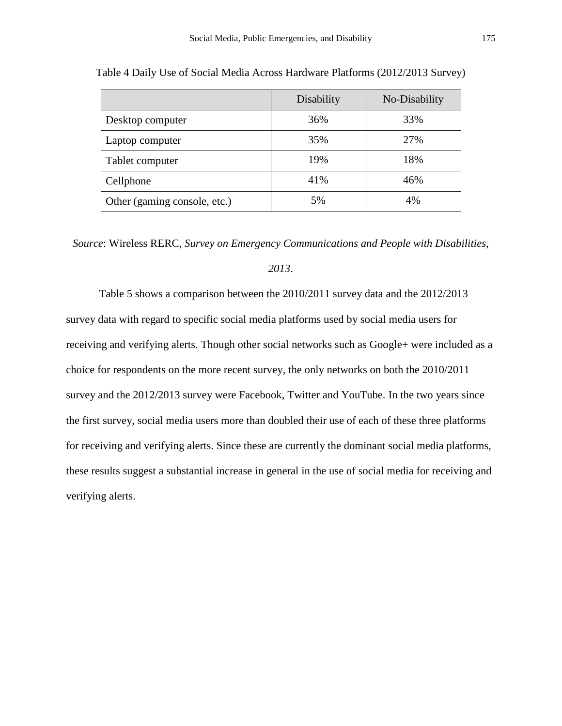|                              | Disability | No-Disability |
|------------------------------|------------|---------------|
| Desktop computer             | 36%        | 33%           |
| Laptop computer              | 35%        | 27%           |
| Tablet computer              | 19%        | 18%           |
| Cellphone                    | 41%        | 46%           |
| Other (gaming console, etc.) | 5%         | 4%            |

Table 4 Daily Use of Social Media Across Hardware Platforms (2012/2013 Survey)

*Source*: Wireless RERC, *Survey on Emergency Communications and People with Disabilities,* 

### *2013*.

Table 5 shows a comparison between the 2010/2011 survey data and the 2012/2013 survey data with regard to specific social media platforms used by social media users for receiving and verifying alerts. Though other social networks such as Google+ were included as a choice for respondents on the more recent survey, the only networks on both the 2010/2011 survey and the 2012/2013 survey were Facebook, Twitter and YouTube. In the two years since the first survey, social media users more than doubled their use of each of these three platforms for receiving and verifying alerts. Since these are currently the dominant social media platforms, these results suggest a substantial increase in general in the use of social media for receiving and verifying alerts.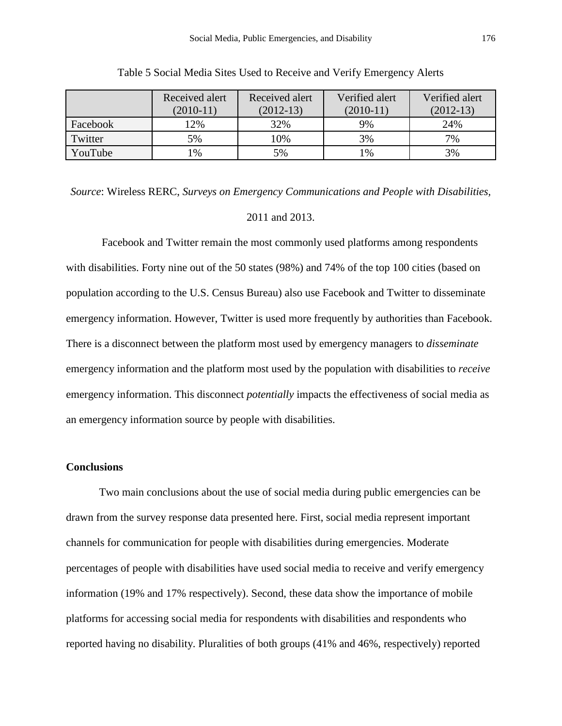|          | Received alert<br>$(2010-11)$ | Received alert<br>$(2012-13)$ | Verified alert<br>$(2010-11)$ | Verified alert<br>$(2012-13)$ |
|----------|-------------------------------|-------------------------------|-------------------------------|-------------------------------|
| Facebook | 12%                           | 32%                           | 9%                            | 24%                           |
| Twitter  | 5%                            | 10%                           | 3%                            | 7%                            |
| YouTube  | $\frac{9}{6}$                 | 5%                            | 1%                            | 3%                            |

Table 5 Social Media Sites Used to Receive and Verify Emergency Alerts

*Source*: Wireless RERC, *Surveys on Emergency Communications and People with Disabilities,*  2011 and 2013.

 Facebook and Twitter remain the most commonly used platforms among respondents with disabilities. Forty nine out of the 50 states (98%) and 74% of the top 100 cities (based on population according to the U.S. Census Bureau) also use Facebook and Twitter to disseminate emergency information. However, Twitter is used more frequently by authorities than Facebook. There is a disconnect between the platform most used by emergency managers to *disseminate* emergency information and the platform most used by the population with disabilities to *receive* emergency information. This disconnect *potentially* impacts the effectiveness of social media as an emergency information source by people with disabilities.

#### **Conclusions**

Two main conclusions about the use of social media during public emergencies can be drawn from the survey response data presented here. First, social media represent important channels for communication for people with disabilities during emergencies. Moderate percentages of people with disabilities have used social media to receive and verify emergency information (19% and 17% respectively). Second, these data show the importance of mobile platforms for accessing social media for respondents with disabilities and respondents who reported having no disability. Pluralities of both groups (41% and 46%, respectively) reported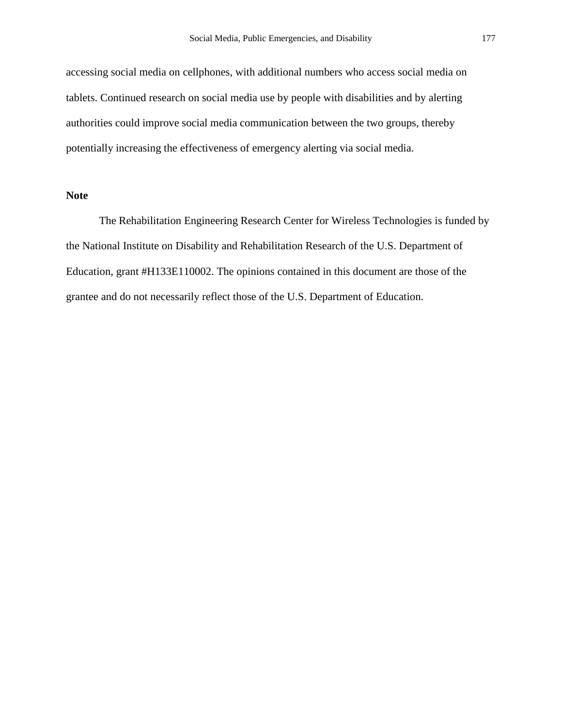accessing social media on cellphones, with additional numbers who access social media on tablets. Continued research on social media use by people with disabilities and by alerting authorities could improve social media communication between the two groups, thereby potentially increasing the effectiveness of emergency alerting via social media.

### **Note**

The Rehabilitation Engineering Research Center for Wireless Technologies is funded by the National Institute on Disability and Rehabilitation Research of the U.S. Department of Education, grant #H133E110002. The opinions contained in this document are those of the grantee and do not necessarily reflect those of the U.S. Department of Education.